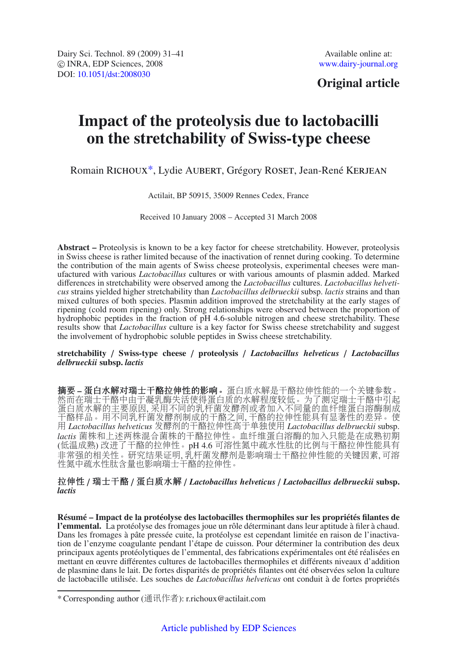# **Original article**

# **Impact of the proteolysis due to lactobacilli on the stretchability of Swiss-type cheese**

Romain RICHOUX<sup>\*</sup>, Lydie AUBERT, Grégory ROSET, Jean-René KERJEAN

Actilait, BP 50915, 35009 Rennes Cedex, France

Received 10 January 2008 – Accepted 31 March 2008

**Abstract –** Proteolysis is known to be a key factor for cheese stretchability. However, proteolysis in Swiss cheese is rather limited because of the inactivation of rennet during cooking. To determine the contribution of the main agents of Swiss cheese proteolysis, experimental cheeses were manufactured with various *Lactobacillus* cultures or with various amounts of plasmin added. Marked differences in stretchability were observed among the *Lactobacillus* cultures. *Lactobacillus helveticus* strains yielded higher stretchability than *Lactobacillus delbrueckii* subsp. *lactis* strains and than mixed cultures of both species. Plasmin addition improved the stretchability at the early stages of ripening (cold room ripening) only. Strong relationships were observed between the proportion of hydrophobic peptides in the fraction of pH 4.6-soluble nitrogen and cheese stretchability. These results show that *Lactobacillus* culture is a key factor for Swiss cheese stretchability and suggest the involvement of hydrophobic soluble peptides in Swiss cheese stretchability.

#### **stretchability** / **Swiss-type cheese** / **proteolysis** / *Lactobacillus helveticus* / *Lactobacillus delbrueckii* **subsp.** *lactis*

摘要 **–** 蛋白水解对瑞士干酪拉伸性的影响。蛋白质水解是干酪拉伸性能的一个关键参数。 然而在瑞士干酪中由于凝乳酶失活使得蛋白质的水解程度较低。为了测定瑞士干酪中引起 蛋白质水解的主要原因, 采用不同的乳杆菌发酵剂或者加入不同量的血纤维蛋白溶酶制成 干酪样品。用不同乳杆菌发酵剂制成的干酪之间, 干酪的拉伸性能具有显著性的差异。使 用 *Lactobacillus helveticus* 发酵剂的干酪拉伸性高于单独使用 *Lactobacillus delbrueckii* subsp. *lactis* 菌株和上述两株混合菌株的干酪拉伸性。血纤维蛋白溶酶的加入只能是在成熟初期 (低温成熟) 改进了干酪的拉伸性。pH 4.6 可溶性氮中疏水性肽的比例与干酪拉伸性能具有 、<br>非常强的相关性。研究结果证明, 乳杆菌发酵剂是影响瑞士干酪拉伸性能的关键因素, 可溶 性氮中疏水性肽含量也影响瑞士干酪的拉伸性。

拉伸性 / 瑞士干酪 / 蛋白质水解 / *Lactobacillus helveticus* / *Lactobacillus delbrueckii* **subsp.** *lactis*

**Résumé – Impact de la protéolyse des lactobacilles thermophiles sur les propriétés filantes de l'emmental.** La protéolyse des fromages joue un rôle déterminant dans leur aptitude à filer à chaud. Dans les fromages à pâte pressée cuite, la protéolyse est cependant limitée en raison de l'inactivation de l'enzyme coagulante pendant l'étape de cuisson. Pour déterminer la contribution des deux principaux agents protéolytiques de l'emmental, des fabrications expérimentales ont été réalisées en mettant en œuvre différentes cultures de lactobacilles thermophiles et différents niveaux d'addition de plasmine dans le lait. De fortes disparités de propriétés filantes ont été observées selon la culture de lactobacille utilisée. Les souches de *Lactobacillus helveticus* ont conduit à de fortes propriétés

<sup>\*</sup> Corresponding author (通讯作者): r.richoux@actilait.com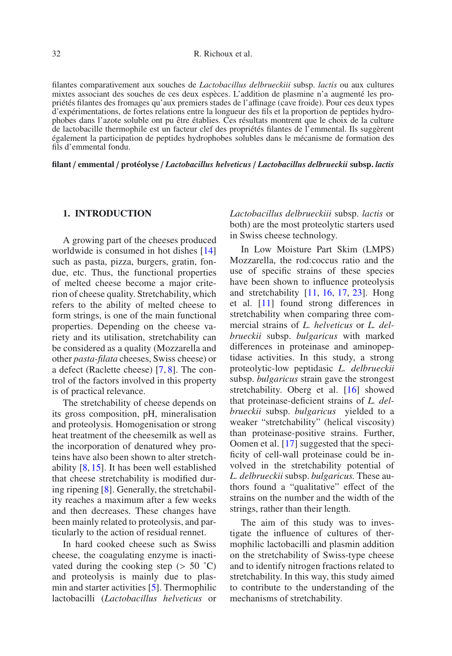filantes comparativement aux souches de *Lactobacillus delbrueckiii* subsp. *lactis* ou aux cultures mixtes associant des souches de ces deux espèces. L'addition de plasmine n'a augmenté les propriétés filantes des fromages qu'aux premiers stades de l'affinage (cave froide). Pour ces deux types d'expérimentations, de fortes relations entre la longueur des fils et la proportion de peptides hydrophobes dans l'azote soluble ont pu être établies. Ces résultats montrent que le choix de la culture de lactobacille thermophile est un facteur clef des propriétés filantes de l'emmental. Ils suggèrent également la participation de peptides hydrophobes solubles dans le mécanisme de formation des fils d'emmental fondu.

**filant** / **emmental** / **protéolyse** / *Lactobacillus helveticus* / *Lactobacillus delbrueckii* **subsp.** *lactis*

#### **1. INTRODUCTION**

A growing part of the cheeses produced worldwide is consumed in hot dishes [\[14\]](#page-10-0) such as pasta, pizza, burgers, gratin, fondue, etc. Thus, the functional properties of melted cheese become a major criterion of cheese quality. Stretchability, which refers to the ability of melted cheese to form strings, is one of the main functional properties. Depending on the cheese variety and its utilisation, stretchability can be considered as a quality (Mozzarella and other *pasta-filata* cheeses, Swiss cheese) or a defect (Raclette cheese) [\[7](#page-9-0), [8\]](#page-9-1). The control of the factors involved in this property is of practical relevance.

The stretchability of cheese depends on its gross composition, pH, mineralisation and proteolysis. Homogenisation or strong heat treatment of the cheesemilk as well as the incorporation of denatured whey proteins have also been shown to alter stretchability [\[8,](#page-9-1) [15\]](#page-10-1). It has been well established that cheese stretchability is modified during ripening [\[8\]](#page-9-1). Generally, the stretchability reaches a maximum after a few weeks and then decreases. These changes have been mainly related to proteolysis, and particularly to the action of residual rennet.

In hard cooked cheese such as Swiss cheese, the coagulating enzyme is inactivated during the cooking step  $(> 50 \degree C)$ and proteolysis is mainly due to plasmin and starter activities [\[5\]](#page-9-2). Thermophilic lactobacilli (*Lactobacillus helveticus* or *Lactobacillus delbrueckiii* subsp. *lactis* or both) are the most proteolytic starters used in Swiss cheese technology.

In Low Moisture Part Skim (LMPS) Mozzarella, the rod:coccus ratio and the use of specific strains of these species have been shown to influence proteolysis and stretchability [\[11](#page-10-2), [16,](#page-10-3) [17,](#page-10-4) [23\]](#page-10-5). Hong et al. [\[11\]](#page-10-2) found strong differences in stretchability when comparing three commercial strains of *L. helveticus* or *L. delbrueckii* subsp. *bulgaricus* with marked differences in proteinase and aminopeptidase activities. In this study, a strong proteolytic-low peptidasic *L. delbrueckii* subsp. *bulgaricus* strain gave the strongest stretchability. Oberg et al. [\[16](#page-10-3)] showed that proteinase-deficient strains of *L. delbrueckii* subsp. *bulgaricus* yielded to a weaker "stretchability" (helical viscosity) than proteinase-positive strains. Further, Oomen et al. [\[17\]](#page-10-4) suggested that the specificity of cell-wall proteinase could be involved in the stretchability potential of *L. delbrueckii* subsp. *bulgaricus.* These authors found a "qualitative" effect of the strains on the number and the width of the strings, rather than their length.

The aim of this study was to investigate the influence of cultures of thermophilic lactobacilli and plasmin addition on the stretchability of Swiss-type cheese and to identify nitrogen fractions related to stretchability. In this way, this study aimed to contribute to the understanding of the mechanisms of stretchability.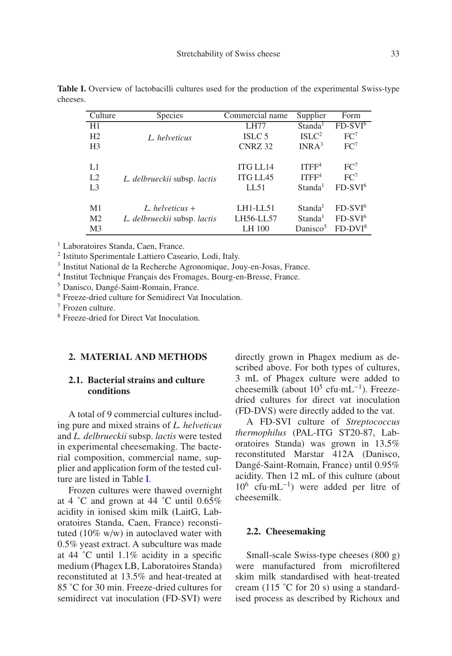| Culture                                | Species                                           | Commercial name                     | Supplier                                                           | Form                                            |
|----------------------------------------|---------------------------------------------------|-------------------------------------|--------------------------------------------------------------------|-------------------------------------------------|
| H1                                     |                                                   | <b>LH77</b>                         | Standa <sup>1</sup>                                                | $FD-SVI6$                                       |
| H <sub>2</sub>                         | L. helveticus                                     | ISLC <sub>5</sub>                   | ISLC <sup>2</sup>                                                  | FC <sup>7</sup>                                 |
| H <sub>3</sub>                         |                                                   | CNRZ <sub>32</sub>                  | INRA <sup>3</sup>                                                  | FC <sup>7</sup>                                 |
| L1<br>L <sub>2</sub><br>L <sub>3</sub> | L. delbrueckii subsp. lactis                      | <b>ITG LL14</b><br>ITG LL45<br>LL51 | ITFF <sup>4</sup><br>ITFF <sup>4</sup><br>Standa <sup>1</sup>      | FC <sup>7</sup><br>FC <sup>7</sup><br>$FD-SVI6$ |
| M <sub>1</sub><br>M <sub>2</sub><br>M3 | $L.$ helyeticus +<br>L. delbrueckii subsp. lactis | LH1-LL51<br>LH56-LL57<br>LH 100     | Standa <sup>1</sup><br>Standa <sup>1</sup><br>Danisco <sup>5</sup> | $FD-SVI6$<br>$FD-SVI6$<br>FD-DVI <sup>8</sup>   |

<span id="page-2-0"></span>**Table I.** Overview of lactobacilli cultures used for the production of the experimental Swiss-type cheeses.

<sup>1</sup> Laboratoires Standa, Caen, France.

<sup>2</sup> Istituto Sperimentale Lattiero Caseario, Lodi, Italy.

<sup>3</sup> Institut National de la Recherche Agronomique, Jouy-en-Josas, France.

<sup>4</sup> Institut Technique Français des Fromages, Bourg-en-Bresse, France.

<sup>5</sup> Danisco, Dangé-Saint-Romain, France.

<sup>6</sup> Freeze-dried culture for Semidirect Vat Inoculation.

<sup>7</sup> Frozen culture.

<sup>8</sup> Freeze-dried for Direct Vat Inoculation.

#### **2. MATERIAL AND METHODS**

# **2.1. Bacterial strains and culture conditions**

A total of 9 commercial cultures including pure and mixed strains of *L. helveticus* and *L. delbrueckii* subsp. *lactis* were tested in experimental cheesemaking. The bacterial composition, commercial name, supplier and application form of the tested culture are listed in Table [I.](#page-2-0)

Frozen cultures were thawed overnight at 4 ˚C and grown at 44 ˚C until 0.65% acidity in ionised skim milk (LaitG, Laboratoires Standa, Caen, France) reconstituted (10% w/w) in autoclaved water with 0.5% yeast extract. A subculture was made at 44 ˚C until 1.1% acidity in a specific medium (Phagex LB, Laboratoires Standa) reconstituted at 13.5% and heat-treated at 85 ˚C for 30 min. Freeze-dried cultures for semidirect vat inoculation (FD-SVI) were directly grown in Phagex medium as described above. For both types of cultures, 3 mL of Phagex culture were added to cheesemilk (about 10<sup>5</sup> cfu·mL<sup>-1</sup>). Freezedried cultures for direct vat inoculation (FD-DVS) were directly added to the vat.

A FD-SVI culture of *Streptococcus thermophilus* (PAL-ITG ST20-87, Laboratoires Standa) was grown in 13.5% reconstituted Marstar 412A (Danisco, Dangé-Saint-Romain, France) until 0.95% acidity. Then 12 mL of this culture (about 10<sup>6</sup> cfu·mL−1) were added per litre of cheesemilk.

# **2.2. Cheesemaking**

Small-scale Swiss-type cheeses (800 g) were manufactured from microfiltered skim milk standardised with heat-treated cream (115 ˚C for 20 s) using a standardised process as described by Richoux and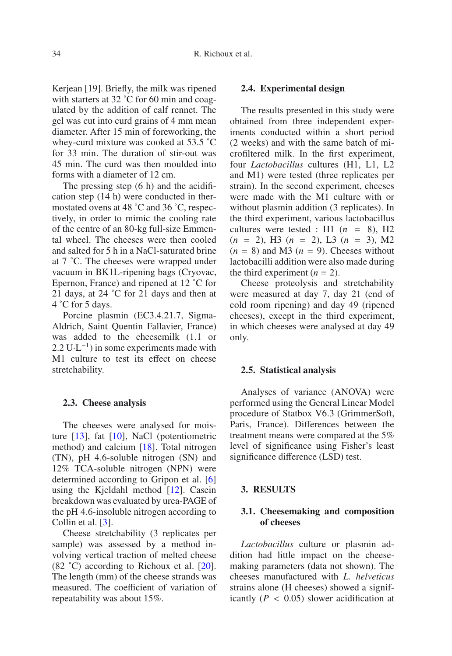Kerjean [19]. Briefly, the milk was ripened with starters at 32 °C for 60 min and coagulated by the addition of calf rennet. The gel was cut into curd grains of 4 mm mean diameter. After 15 min of foreworking, the whey-curd mixture was cooked at 53.5 ˚C for 33 min. The duration of stir-out was 45 min. The curd was then moulded into forms with a diameter of 12 cm.

The pressing step (6 h) and the acidification step (14 h) were conducted in thermostated ovens at 48 ˚C and 36 ˚C, respectively, in order to mimic the cooling rate of the centre of an 80-kg full-size Emmental wheel. The cheeses were then cooled and salted for 5 h in a NaCl-saturated brine at 7 ˚C. The cheeses were wrapped under vacuum in BK1L-ripening bags (Cryovac, Epernon, France) and ripened at 12 ˚C for 21 days, at 24 ˚C for 21 days and then at 4 ˚C for 5 days.

Porcine plasmin (EC3.4.21.7, Sigma-Aldrich, Saint Quentin Fallavier, France) was added to the cheesemilk (1.1 or  $2.2 \text{ U·L}^{-1}$ ) in some experiments made with M1 culture to test its effect on cheese stretchability.

#### **2.3. Cheese analysis**

The cheeses were analysed for moisture [\[13](#page-10-6)], fat [\[10](#page-10-7)], NaCl (potentiometric method) and calcium [\[18](#page-10-8)]. Total nitrogen (TN), pH 4.6-soluble nitrogen (SN) and 12% TCA-soluble nitrogen (NPN) were determined according to Gripon et al. [\[6\]](#page-9-3) using the Kjeldahl method [\[12\]](#page-10-9). Casein breakdown was evaluated by urea-PAGE of the pH 4.6-insoluble nitrogen according to Collin et al. [\[3](#page-9-4)].

Cheese stretchability (3 replicates per sample) was assessed by a method involving vertical traction of melted cheese  $(82 \degree C)$  according to Richoux et al.  $[20]$  $[20]$ . The length (mm) of the cheese strands was measured. The coefficient of variation of repeatability was about 15%.

#### **2.4. Experimental design**

The results presented in this study were obtained from three independent experiments conducted within a short period (2 weeks) and with the same batch of microfiltered milk. In the first experiment, four *Lactobacillus* cultures (H1, L1, L2 and M1) were tested (three replicates per strain). In the second experiment, cheeses were made with the M1 culture with or without plasmin addition (3 replicates). In the third experiment, various lactobacillus cultures were tested : H1  $(n = 8)$ , H2  $(n = 2)$ , H3  $(n = 2)$ , L3  $(n = 3)$ , M2  $(n = 8)$  and M3  $(n = 9)$ . Cheeses without lactobacilli addition were also made during the third experiment  $(n = 2)$ .

Cheese proteolysis and stretchability were measured at day 7, day 21 (end of cold room ripening) and day 49 (ripened cheeses), except in the third experiment, in which cheeses were analysed at day 49 only.

## **2.5. Statistical analysis**

Analyses of variance (ANOVA) were performed using the General Linear Model procedure of Statbox V6.3 (GrimmerSoft, Paris, France). Differences between the treatment means were compared at the 5% level of significance using Fisher's least significance difference (LSD) test.

#### **3. RESULTS**

# **3.1. Cheesemaking and composition of cheeses**

*Lactobacillus* culture or plasmin addition had little impact on the cheesemaking parameters (data not shown). The cheeses manufactured with *L. helveticus* strains alone (H cheeses) showed a significantly  $(P < 0.05)$  slower acidification at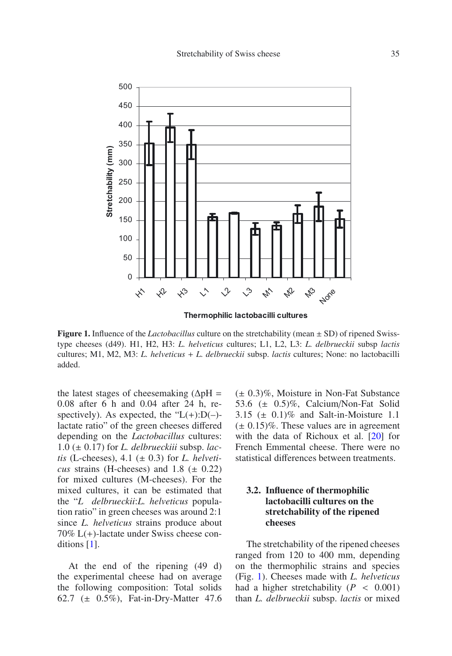<span id="page-4-0"></span>

**Figure 1.** Influence of the *Lactobacillus* culture on the stretchability (mean  $\pm$  SD) of ripened Swisstype cheeses (d49). H1, H2, H3: *L. helveticus* cultures; L1, L2, L3: *L. delbrueckii* subsp *lactis* cultures; M1, M2, M3: *L. helveticus* + *L. delbrueckii* subsp. *lactis* cultures; None: no lactobacilli added.

the latest stages of cheesemaking  $(\Delta pH =$ 0.08 after 6 h and 0.04 after 24 h, respectively). As expected, the " $L(+)$ : $D(-)$ lactate ratio" of the green cheeses differed depending on the *Lactobacillus* cultures: 1.0 (± 0.17) for *L. delbrueckiii* subsp. *lac*tis (L-cheeses),  $4.1$  ( $\pm$  0.3) for *L. helveticus* strains (H-cheeses) and  $1.8$  ( $\pm$  0.22) for mixed cultures (M-cheeses). For the mixed cultures, it can be estimated that the "*L delbrueckii*:*L. helveticus* population ratio" in green cheeses was around 2:1 since *L. helveticus* strains produce about 70% L(+)-lactate under Swiss cheese conditions [\[1\]](#page-9-5).

At the end of the ripening (49 d) the experimental cheese had on average the following composition: Total solids 62.7 (± 0.5%), Fat-in-Dry-Matter 47.6 (± 0.3)%, Moisture in Non-Fat Substance 53.6  $(\pm 0.5)\%$ , Calcium/Non-Fat Solid 3.15  $(\pm 0.1)\%$  and Salt-in-Moisture 1.1  $(\pm 0.15)\%$ . These values are in agreement with the data of Richoux et al. [\[20\]](#page-10-10) for French Emmental cheese. There were no statistical differences between treatments.

# **3.2. Influence of thermophilic lactobacilli cultures on the stretchability of the ripened cheeses**

The stretchability of the ripened cheeses ranged from 120 to 400 mm, depending on the thermophilic strains and species (Fig. [1\)](#page-4-0). Cheeses made with *L. helveticus* had a higher stretchability  $(P < 0.001)$ than *L. delbrueckii* subsp. *lactis* or mixed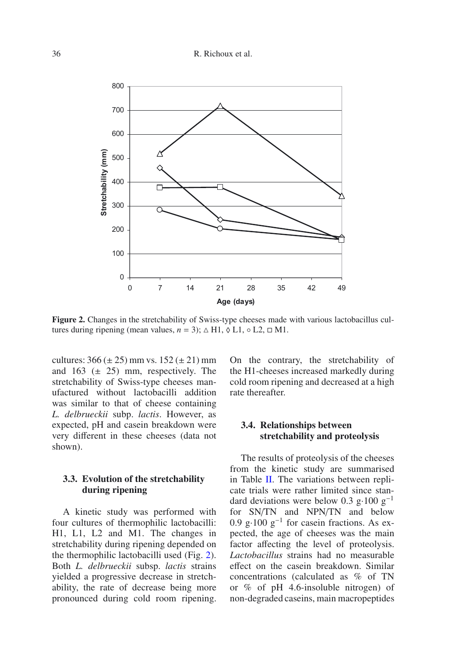<span id="page-5-0"></span>

**Figure 2.** Changes in the stretchability of Swiss-type cheeses made with various lactobacillus cultures during ripening (mean values,  $n = 3$ );  $\triangle$  H1,  $\triangle$  L1,  $\circ$  L2,  $\Box$  M1.

cultures:  $366 (\pm 25)$  mm vs.  $152 (\pm 21)$  mm and  $163$  ( $\pm$  25) mm, respectively. The stretchability of Swiss-type cheeses manufactured without lactobacilli addition was similar to that of cheese containing *L. delbrueckii* subp. *lactis*. However, as expected, pH and casein breakdown were very different in these cheeses (data not shown).

# **3.3. Evolution of the stretchability during ripening**

A kinetic study was performed with four cultures of thermophilic lactobacilli: H1, L1, L2 and M1. The changes in stretchability during ripening depended on the thermophilic lactobacilli used (Fig. [2\)](#page-5-0). Both *L. delbrueckii* subsp. *lactis* strains yielded a progressive decrease in stretchability, the rate of decrease being more pronounced during cold room ripening. On the contrary, the stretchability of the H1-cheeses increased markedly during cold room ripening and decreased at a high rate thereafter.

# **3.4. Relationships between stretchability and proteolysis**

The results of proteolysis of the cheeses from the kinetic study are summarised in Table [II.](#page-6-0) The variations between replicate trials were rather limited since standard deviations were below 0.3 g·100 g<sup>-1</sup> for SN/TN and NPN/TN and below 0.9 g·100 g<sup>-1</sup> for casein fractions. As expected, the age of cheeses was the main factor affecting the level of proteolysis. *Lactobacillus* strains had no measurable effect on the casein breakdown. Similar concentrations (calculated as % of TN or % of pH 4.6-insoluble nitrogen) of non-degraded caseins, main macropeptides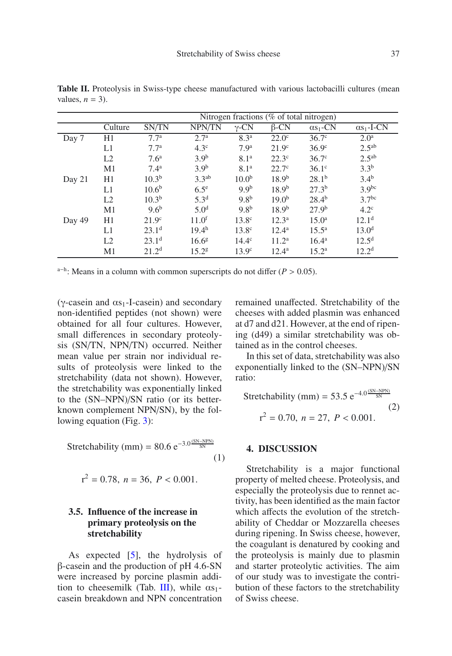|        |                | Nitrogen fractions ( $%$ of total nitrogen) |                   |                   |                   |                   |                    |
|--------|----------------|---------------------------------------------|-------------------|-------------------|-------------------|-------------------|--------------------|
|        | Culture        | SN/TN                                       | NPN/TN            | $\gamma$ -CN      | $\beta$ -CN       | $\alpha s_1$ -CN  | $\alpha s_1$ -I-CN |
| Day 7  | H1             | 7.7 <sup>a</sup>                            | 2.7 <sup>a</sup>  | 8.3 <sup>a</sup>  | $22.0^\circ$      | $36.7^\circ$      | 2.0 <sup>a</sup>   |
|        | L1             | 7.7 <sup>a</sup>                            | 4.3 <sup>c</sup>  | 7.9 <sup>a</sup>  | 21.9 <sup>c</sup> | $36.9^{\circ}$    | $2.5^{ab}$         |
|        | L2             | 7.6 <sup>a</sup>                            | 3.9 <sup>b</sup>  | 8.1 <sup>a</sup>  | $22.3^\circ$      | $36.7^\circ$      | $2.5^{ab}$         |
|        | M1             | 7.4 <sup>a</sup>                            | 3.9 <sup>b</sup>  | 8.1 <sup>a</sup>  | 22.7 <sup>c</sup> | $36.1^{\circ}$    | $3.3^{b}$          |
| Day 21 | H1             | $10.3^{b}$                                  | $3.3^{ab}$        | $10.0^{b}$        | $18.9^{b}$        | $28.1^{b}$        | $3.4^{b}$          |
|        | L1             | 10.6 <sup>b</sup>                           | 6.5 <sup>e</sup>  | 9.9 <sup>b</sup>  | 18.9 <sup>b</sup> | 27.3 <sup>b</sup> | $3.9^{bc}$         |
|        | L <sub>2</sub> | 10.3 <sup>b</sup>                           | $5.3^{d}$         | $9.8^{b}$         | $19.0^{b}$        | $28.4^{b}$        | $3.7^{bc}$         |
|        | M <sub>1</sub> | $9.6^{b}$                                   | 5.0 <sup>d</sup>  | 9.8 <sup>b</sup>  | 18.9 <sup>b</sup> | 27.9 <sup>b</sup> | 4.2 <sup>c</sup>   |
| Day 49 | H1             | 21.9 <sup>c</sup>                           | $11.0^{f}$        | $13.8^{\circ}$    | $12.3^a$          | $15.0^{\rm a}$    | 12.1 <sup>d</sup>  |
|        | L1             | 23.1 <sup>d</sup>                           | 19.4 <sup>h</sup> | $13.8^{\circ}$    | $12.4^{\rm a}$    | $15.5^{\rm a}$    | $13.0^d$           |
|        | L <sub>2</sub> | 23.1 <sup>d</sup>                           | 16.6 <sup>g</sup> | $14.4^\circ$      | 11.2 <sup>a</sup> | $16.4^{\rm a}$    | $12.5^{\rm d}$     |
|        | M1             | 21.2 <sup>d</sup>                           | 15.2 <sup>g</sup> | 13.9 <sup>c</sup> | $12.4^{\rm a}$    | 15.2 <sup>a</sup> | 12.2 <sup>d</sup>  |

<span id="page-6-0"></span>**Table II.** Proteolysis in Swiss-type cheese manufactured with various lactobacilli cultures (mean values,  $n = 3$ ).

 $a-h$ : Means in a column with common superscripts do not differ (*P* > 0.05).

(γ-casein and  $αs<sub>1</sub>$ -I-casein) and secondary non-identified peptides (not shown) were obtained for all four cultures. However, small differences in secondary proteolysis (SN/TN, NPN/TN) occurred. Neither mean value per strain nor individual results of proteolysis were linked to the stretchability (data not shown). However, the stretchability was exponentially linked to the (SN–NPN)/SN ratio (or its betterknown complement NPN/SN), by the following equation (Fig. [3\)](#page-7-0):

$$
Stretchability (mm) = 80.6 e^{-3.0 \frac{(SN-NPN)}{SN}} (1)
$$

$$
r^2 = 0.78, n = 36, P < 0.001.
$$

# **3.5. Influence of the increase in primary proteolysis on the stretchability**

As expected [\[5](#page-9-2)], the hydrolysis of β-casein and the production of pH 4.6-SN were increased by porcine plasmin addi-tion to cheesemilk (Tab. [III\)](#page-7-1), while  $\alpha s_1$ casein breakdown and NPN concentration remained unaffected. Stretchability of the cheeses with added plasmin was enhanced at d7 and d21. However, at the end of ripening (d49) a similar stretchability was obtained as in the control cheeses.

In this set of data, stretchability was also exponentially linked to the (SN–NPN)/SN ratio:

Stretchability (mm) = 53.5 e<sup>-4.0</sup>
$$
\frac{\text{(SN-NPN)}}{\text{SN}}
$$
  
(2)  
 $r^2 = 0.70, n = 27, P < 0.001.$ 

## **4. DISCUSSION**

Stretchability is a major functional property of melted cheese. Proteolysis, and especially the proteolysis due to rennet activity, has been identified as the main factor which affects the evolution of the stretchability of Cheddar or Mozzarella cheeses during ripening. In Swiss cheese, however, the coagulant is denatured by cooking and the proteolysis is mainly due to plasmin and starter proteolytic activities. The aim of our study was to investigate the contribution of these factors to the stretchability of Swiss cheese.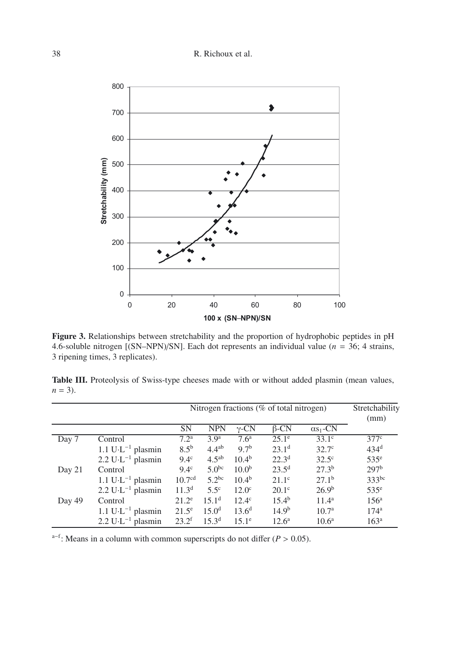

<span id="page-7-1"></span><span id="page-7-0"></span>**Figure 3.** Relationships between stretchability and the proportion of hydrophobic peptides in pH 4.6-soluble nitrogen [(SN–NPN)/SN]. Each dot represents an individual value (*n* = 36; 4 strains, 3 ripening times, 3 replicates).

Table III. Proteolysis of Swiss-type cheeses made with or without added plasmin (mean values,  $n = 3$ ).

|        |                                             | Nitrogen fractions (% of total nitrogen) |                   |                   |                   | Stretchability<br>(mm) |                  |
|--------|---------------------------------------------|------------------------------------------|-------------------|-------------------|-------------------|------------------------|------------------|
|        |                                             | <b>SN</b>                                | <b>NPN</b>        | $\gamma$ -CN      | $\beta$ -CN       | $\alpha s_1$ -CN       |                  |
| Day 7  | Control                                     | 7.2 <sup>a</sup>                         | 3.9 <sup>a</sup>  | 7.6 <sup>a</sup>  | $25.1^e$          | $33.1^{\circ}$         | $377^{\circ}$    |
|        | $1.1 U \cdot L^{-1}$ plasmin                | $8.5^{b}$                                | $4.4^{ab}$        | 9.7 <sup>b</sup>  | 23.1 <sup>d</sup> | 32.7 <sup>c</sup>      | 434 <sup>d</sup> |
|        | $2.2 U \cdot L^{-1}$ plasmin                | 9.4 <sup>c</sup>                         | 4.5 <sup>ab</sup> | 10.4 <sup>b</sup> | 22.3 <sup>d</sup> | $32.5^{\circ}$         | 535 <sup>e</sup> |
| Day 21 | Control                                     | $9.4^\circ$                              | $5.0^{bc}$        | $10.0^{b}$        | $23.5^{\rm d}$    | $27.3^{b}$             | 297 <sup>b</sup> |
|        | $1.1 U \cdot L^{-1}$ plasmin                | 10.7 <sup>cd</sup>                       | $5.2^{bc}$        | 10.4 <sup>b</sup> | 21.1 <sup>c</sup> | 27.1 <sup>b</sup>      | 333bc            |
|        | $2.2 U \cdot L^{-1}$ plasmin                | 11.3 <sup>d</sup>                        | $5.5^\circ$       | $12.0^\circ$      | $20.1^{\circ}$    | $26.9^{b}$             | $535^{\circ}$    |
| Day 49 | Control                                     | $21.2^e$                                 | 15.1 <sup>d</sup> | 12.4c             | 15.4 <sup>b</sup> | 11.4 <sup>a</sup>      | 156 <sup>a</sup> |
|        | $1.1 \text{ U} \cdot \text{L}^{-1}$ plasmin | $21.5^{\circ}$                           | $15.0^d$          | $13.6^d$          | 14.9 <sup>b</sup> | 10.7 <sup>a</sup>      | $174^{\rm a}$    |
|        | $2.2 \text{ U-L}^{-1}$ plasmin              | $23.2^{f}$                               | $15.3^{d}$        | $15.1^e$          | $12.6^a$          | $10.6^{\rm a}$         | 163 <sup>a</sup> |

<sup>a−f</sup>: Means in a column with common superscripts do not differ (*P* > 0.05).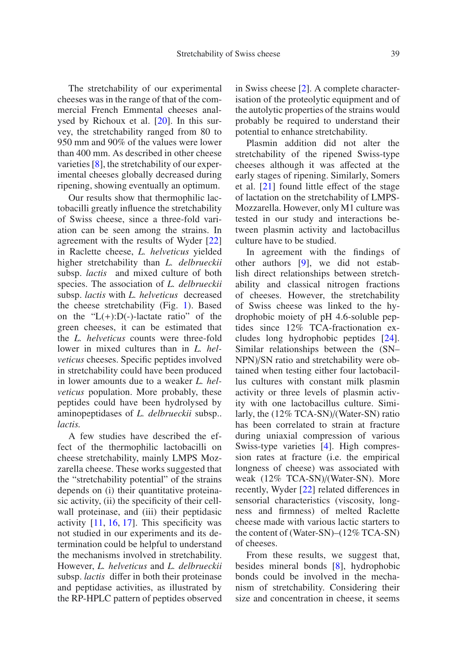The stretchability of our experimental cheeses was in the range of that of the commercial French Emmental cheeses analysed by Richoux et al. [\[20](#page-10-10)]. In this survey, the stretchability ranged from 80 to 950 mm and 90% of the values were lower than 400 mm. As described in other cheese varieties [\[8](#page-9-1)], the stretchability of our experimental cheeses globally decreased during ripening, showing eventually an optimum.

Our results show that thermophilic lactobacilli greatly influence the stretchability of Swiss cheese, since a three-fold variation can be seen among the strains. In agreement with the results of Wyder [\[22](#page-10-11)] in Raclette cheese, *L. helveticus* yielded higher stretchability than *L. delbrueckii* subsp. *lactis* and mixed culture of both species. The association of *L. delbrueckii* subsp. *lactis* with *L. helveticus* decreased the cheese stretchability (Fig. [1\)](#page-4-0). Based on the " $L(+):D(-)$ -lactate ratio" of the green cheeses, it can be estimated that the *L. helveticus* counts were three-fold lower in mixed cultures than in *L. helveticus* cheeses. Specific peptides involved in stretchability could have been produced in lower amounts due to a weaker *L. helveticus* population. More probably, these peptides could have been hydrolysed by aminopeptidases of *L. delbrueckii* subsp.. *lactis.*

A few studies have described the effect of the thermophilic lactobacilli on cheese stretchability, mainly LMPS Mozzarella cheese. These works suggested that the "stretchability potential" of the strains depends on (i) their quantitative proteinasic activity, (ii) the specificity of their cellwall proteinase, and (iii) their peptidasic activity  $[11, 16, 17]$  $[11, 16, 17]$  $[11, 16, 17]$  $[11, 16, 17]$  $[11, 16, 17]$ . This specificity was not studied in our experiments and its determination could be helpful to understand the mechanisms involved in stretchability. However, *L. helveticus* and *L. delbrueckii* subsp. *lactis* differ in both their proteinase and peptidase activities, as illustrated by the RP-HPLC pattern of peptides observed in Swiss cheese [\[2](#page-9-6)]. A complete characterisation of the proteolytic equipment and of the autolytic properties of the strains would probably be required to understand their potential to enhance stretchability.

Plasmin addition did not alter the stretchability of the ripened Swiss-type cheeses although it was affected at the early stages of ripening. Similarly, Somers et al. [\[21\]](#page-10-12) found little effect of the stage of lactation on the stretchability of LMPS-Mozzarella. However, only M1 culture was tested in our study and interactions between plasmin activity and lactobacillus culture have to be studied.

In agreement with the findings of other authors [\[9](#page-9-7)], we did not establish direct relationships between stretchability and classical nitrogen fractions of cheeses. However, the stretchability of Swiss cheese was linked to the hydrophobic moiety of pH 4.6-soluble peptides since 12% TCA-fractionation excludes long hydrophobic peptides [\[24\]](#page-10-13). Similar relationships between the (SN– NPN)/SN ratio and stretchability were obtained when testing either four lactobacillus cultures with constant milk plasmin activity or three levels of plasmin activity with one lactobacillus culture. Similarly, the (12% TCA-SN)/(Water-SN) ratio has been correlated to strain at fracture during uniaxial compression of various Swiss-type varieties [\[4](#page-9-8)]. High compression rates at fracture (i.e. the empirical longness of cheese) was associated with weak (12% TCA-SN)/(Water-SN). More recently, Wyder [\[22](#page-10-11)] related differences in sensorial characteristics (viscosity, longness and firmness) of melted Raclette cheese made with various lactic starters to the content of (Water-SN)–(12% TCA-SN) of cheeses.

From these results, we suggest that, besides mineral bonds [\[8](#page-9-1)], hydrophobic bonds could be involved in the mechanism of stretchability. Considering their size and concentration in cheese, it seems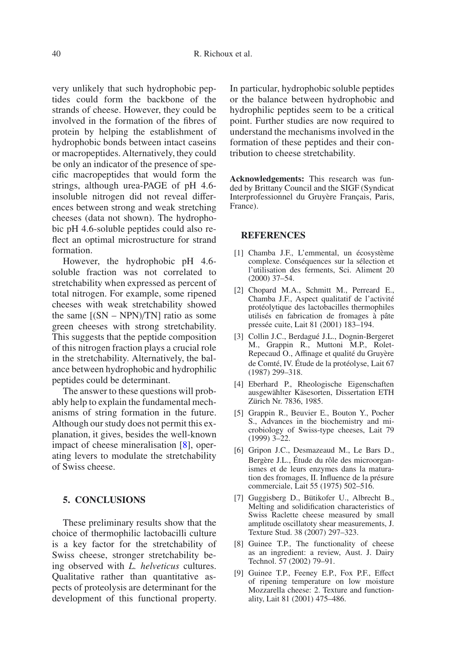very unlikely that such hydrophobic peptides could form the backbone of the strands of cheese. However, they could be involved in the formation of the fibres of protein by helping the establishment of hydrophobic bonds between intact caseins or macropeptides. Alternatively, they could be only an indicator of the presence of specific macropeptides that would form the strings, although urea-PAGE of pH 4.6 insoluble nitrogen did not reveal differences between strong and weak stretching cheeses (data not shown). The hydrophobic pH 4.6-soluble peptides could also reflect an optimal microstructure for strand formation.

However, the hydrophobic pH 4.6 soluble fraction was not correlated to stretchability when expressed as percent of total nitrogen. For example, some ripened cheeses with weak stretchability showed the same  $[(SN - NPN)/TN]$  ratio as some green cheeses with strong stretchability. This suggests that the peptide composition of this nitrogen fraction plays a crucial role in the stretchability. Alternatively, the balance between hydrophobic and hydrophilic peptides could be determinant.

The answer to these questions will probably help to explain the fundamental mechanisms of string formation in the future. Although our study does not permit this explanation, it gives, besides the well-known impact of cheese mineralisation [\[8](#page-9-1)], operating levers to modulate the stretchability of Swiss cheese.

# **5. CONCLUSIONS**

These preliminary results show that the choice of thermophilic lactobacilli culture is a key factor for the stretchability of Swiss cheese, stronger stretchability being observed with *L. helveticus* cultures. Qualitative rather than quantitative aspects of proteolysis are determinant for the development of this functional property. In particular, hydrophobic soluble peptides or the balance between hydrophobic and hydrophilic peptides seem to be a critical point. Further studies are now required to understand the mechanisms involved in the formation of these peptides and their contribution to cheese stretchability.

**Acknowledgements:** This research was funded by Brittany Council and the SIGF (Syndicat Interprofessionnel du Gruyère Français, Paris, France).

#### **REFERENCES**

- <span id="page-9-5"></span>[1] Chamba J.F., L'emmental, un écosystème complexe. Conséquences sur la sélection et l'utilisation des ferments, Sci. Aliment 20 (2000) 37–54.
- <span id="page-9-6"></span>[2] Chopard M.A., Schmitt M., Perreard E., Chamba J.F., Aspect qualitatif de l'activité protéolytique des lactobacilles thermophiles utilisés en fabrication de fromages à pâte pressée cuite, Lait 81 (2001) 183–194.
- <span id="page-9-4"></span>[3] Collin J.C., Berdagué J.L., Dognin-Bergeret M., Grappin R., Muttoni M.P., Rolet-Repecaud O., Affinage et qualité du Gruyère de Comté, IV. Étude de la protéolyse, Lait 67 (1987) 299–318.
- <span id="page-9-8"></span>[4] Eberhard P., Rheologische Eigenschaften ausgewählter Käsesorten, Dissertation ETH Zürich Nr. 7836, 1985.
- <span id="page-9-2"></span>[5] Grappin R., Beuvier E., Bouton Y., Pocher S., Advances in the biochemistry and microbiology of Swiss-type cheeses, Lait 79 (1999) 3–22.
- <span id="page-9-3"></span>[6] Gripon J.C., Desmazeaud M., Le Bars D., Bergère J.L., Étude du rôle des microorganismes et de leurs enzymes dans la maturation des fromages, II. Influence de la présure commerciale, Lait 55 (1975) 502–516.
- <span id="page-9-0"></span>[7] Guggisberg D., Bütikofer U., Albrecht B., Melting and solidification characteristics of Swiss Raclette cheese measured by small amplitude oscillatoty shear measurements, J. Texture Stud. 38 (2007) 297–323.
- <span id="page-9-1"></span>[8] Guinee T.P., The functionality of cheese as an ingredient: a review, Aust. J. Dairy Technol. 57 (2002) 79–91.
- <span id="page-9-7"></span>[9] Guinee T.P., Feeney E.P., Fox P.F., Effect of ripening temperature on low moisture Mozzarella cheese: 2. Texture and functionality, Lait 81 (2001) 475–486.